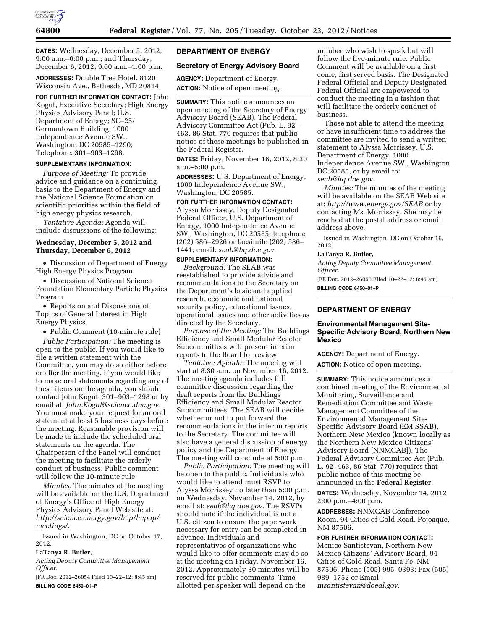

**DATES:** Wednesday, December 5, 2012; 9:00 a.m.–6:00 p.m.; and Thursday, December 6, 2012; 9:00 a.m.–1:00 p.m.

**ADDRESSES:** Double Tree Hotel, 8120 Wisconsin Ave., Bethesda, MD 20814.

**FOR FURTHER INFORMATION CONTACT:** John Kogut, Executive Secretary; High Energy Physics Advisory Panel; U.S. Department of Energy; SC–25/ Germantown Building, 1000 Independence Avenue SW., Washington, DC 20585–1290; Telephone: 301–903–1298.

#### **SUPPLEMENTARY INFORMATION:**

*Purpose of Meeting:* To provide advice and guidance on a continuing basis to the Department of Energy and the National Science Foundation on scientific priorities within the field of high energy physics research.

*Tentative Agenda:* Agenda will include discussions of the following:

# **Wednesday, December 5, 2012 and Thursday, December 6, 2012**

• Discussion of Department of Energy High Energy Physics Program

• Discussion of National Science Foundation Elementary Particle Physics Program

• Reports on and Discussions of Topics of General Interest in High Energy Physics

• Public Comment (10-minute rule)

*Public Participation:* The meeting is open to the public. If you would like to file a written statement with the Committee, you may do so either before or after the meeting. If you would like to make oral statements regarding any of these items on the agenda, you should contact John Kogut, 301–903–1298 or by email at: *[John.Kogut@science.doe.gov.](mailto:John.Kogut@science.doe.gov)*  You must make your request for an oral statement at least 5 business days before the meeting. Reasonable provision will be made to include the scheduled oral statements on the agenda. The Chairperson of the Panel will conduct the meeting to facilitate the orderly conduct of business. Public comment will follow the 10-minute rule.

*Minutes:* The minutes of the meeting will be available on the U.S. Department of Energy's Office of High Energy Physics Advisory Panel Web site at: *[http://science.energy.gov/hep/hepap/](http://science.energy.gov/hep/hepap/meetings/) [meetings/](http://science.energy.gov/hep/hepap/meetings/)*.

Issued in Washington, DC on October 17, 2012.

## **LaTanya R. Butler,**

*Acting Deputy Committee Management Officer.* 

[FR Doc. 2012–26054 Filed 10–22–12; 8:45 am] **BILLING CODE 6450–01–P** 

## **DEPARTMENT OF ENERGY**

#### **Secretary of Energy Advisory Board**

**AGENCY:** Department of Energy. **ACTION:** Notice of open meeting.

**SUMMARY:** This notice announces an open meeting of the Secretary of Energy Advisory Board (SEAB). The Federal Advisory Committee Act (Pub. L. 92– 463, 86 Stat. 770 requires that public notice of these meetings be published in the Federal Register.

**DATES:** Friday, November 16, 2012, 8:30 a.m.–5:00 p.m.

**ADDRESSES:** U.S. Department of Energy, 1000 Independence Avenue SW., Washington, DC 20585.

### **FOR FURTHER INFORMATION CONTACT:**  Alyssa Morrissey, Deputy Designated

Federal Officer, U.S. Department of Energy, 1000 Independence Avenue SW., Washington, DC 20585; telephone (202) 586–2926 or facsimile (202) 586– 1441; email: *[seab@hq.doe.gov](mailto:seab@hq.doe.gov)*.

#### **SUPPLEMENTARY INFORMATION:**

*Background:* The SEAB was reestablished to provide advice and recommendations to the Secretary on the Department's basic and applied research, economic and national security policy, educational issues, operational issues and other activities as directed by the Secretary.

*Purpose of the Meeting:* The Buildings Efficiency and Small Modular Reactor Subcommittees will present interim reports to the Board for review.

*Tentative Agenda:* The meeting will start at 8:30 a.m. on November 16, 2012. The meeting agenda includes full committee discussion regarding the draft reports from the Buildings Efficiency and Small Modular Reactor Subcommittees. The SEAB will decide whether or not to put forward the recommendations in the interim reports to the Secretary. The committee will also have a general discussion of energy policy and the Department of Energy. The meeting will conclude at 5:00 p.m.

*Public Participation:* The meeting will be open to the public. Individuals who would like to attend must RSVP to Alyssa Morrissey no later than 5:00 p.m. on Wednesday, November 14, 2012, by email at: *[seab@hq.doe.gov](mailto:seab@hq.doe.gov)*. The RSVPs should note if the individual is not a U.S. citizen to ensure the paperwork necessary for entry can be completed in advance. Individuals and representatives of organizations who would like to offer comments may do so at the meeting on Friday, November 16, 2012. Approximately 30 minutes will be reserved for public comments. Time allotted per speaker will depend on the

number who wish to speak but will follow the five-minute rule. Public Comment will be available on a first come, first served basis. The Designated Federal Official and Deputy Designated Federal Official are empowered to conduct the meeting in a fashion that will facilitate the orderly conduct of business.

Those not able to attend the meeting or have insufficient time to address the committee are invited to send a written statement to Alyssa Morrissey, U.S. Department of Energy, 1000 Independence Avenue SW., Washington DC 20585, or by email to: *[seab@hq.doe.gov](mailto:seab@hq.doe.gov)*.

*Minutes:* The minutes of the meeting will be available on the SEAB Web site at: *<http://www.energy.gov/SEAB>*or by contacting Ms. Morrissey. She may be reached at the postal address or email address above.

Issued in Washington, DC on October 16, 2012.

## **LaTanya R. Butler,**

*Acting Deputy Committee Management Officer.* 

[FR Doc. 2012–26056 Filed 10–22–12; 8:45 am] **BILLING CODE 6450–01–P** 

## **DEPARTMENT OF ENERGY**

#### **Environmental Management Site-Specific Advisory Board, Northern New Mexico**

**AGENCY:** Department of Energy.

**ACTION:** Notice of open meeting.

**SUMMARY:** This notice announces a combined meeting of the Environmental Monitoring, Surveillance and Remediation Committee and Waste Management Committee of the Environmental Management Site-Specific Advisory Board (EM SSAB), Northern New Mexico (known locally as the Northern New Mexico Citizens' Advisory Board [NNMCAB]). The Federal Advisory Committee Act (Pub. L. 92–463, 86 Stat. 770) requires that public notice of this meeting be announced in the **Federal Register**.

**DATES:** Wednesday, November 14, 2012 2:00 p.m.–4:00 p.m.

**ADDRESSES:** NNMCAB Conference Room, 94 Cities of Gold Road, Pojoaque, NM 87506.

### **FOR FURTHER INFORMATION CONTACT:**

Menice Santistevan, Northern New Mexico Citizens' Advisory Board, 94 Cities of Gold Road, Santa Fe, NM 87506. Phone (505) 995–0393; Fax (505) 989–1752 or Email: *[msantistevan@doeal.gov.](mailto:msantistevan@doeal.gov)*